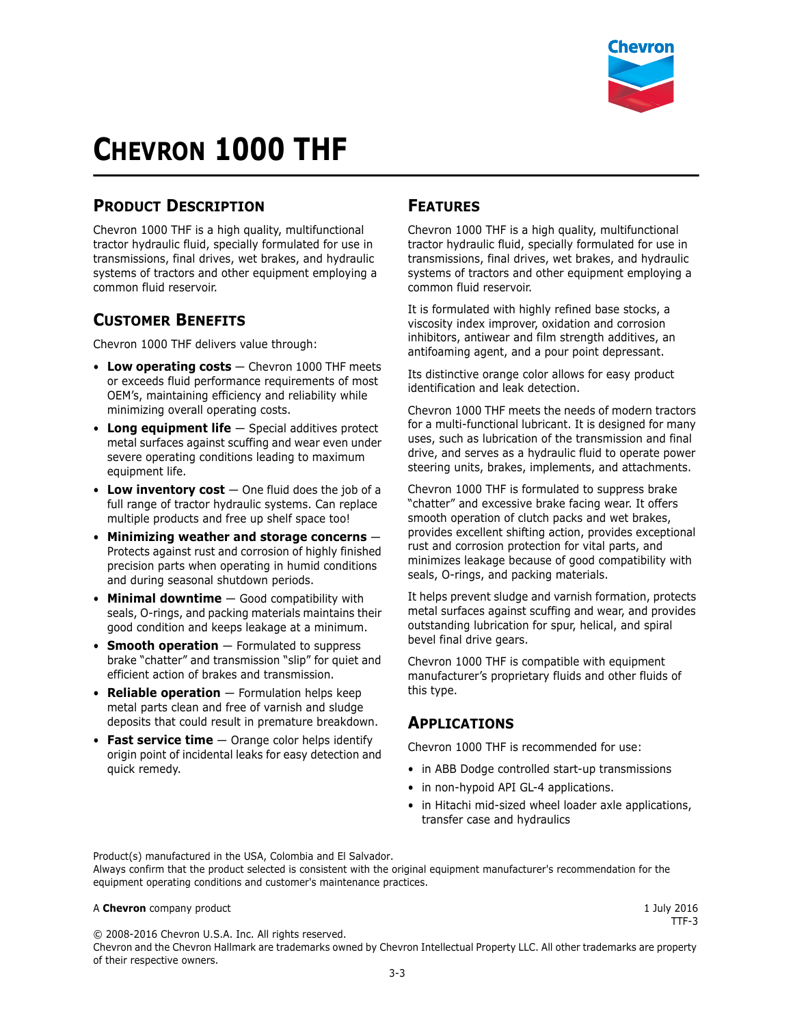

# **CHEVRON 1000 THF**

## **PRODUCT DESCRIPTION**

Chevron 1000 THF is a high quality, multifunctional tractor hydraulic fluid, specially formulated for use in transmissions, final drives, wet brakes, and hydraulic systems of tractors and other equipment employing a common fluid reservoir.

### **CUSTOMER BENEFITS**

Chevron 1000 THF delivers value through:

- **Low operating costs** Chevron 1000 THF meets or exceeds fluid performance requirements of most OEM's, maintaining efficiency and reliability while minimizing overall operating costs.
- **Long equipment life** Special additives protect metal surfaces against scuffing and wear even under severe operating conditions leading to maximum equipment life.
- **Low inventory cost**  One fluid does the job of a full range of tractor hydraulic systems. Can replace multiple products and free up shelf space too!
- **Minimizing weather and storage concerns** Protects against rust and corrosion of highly finished precision parts when operating in humid conditions and during seasonal shutdown periods.
- **Minimal downtime** Good compatibility with seals, O-rings, and packing materials maintains their good condition and keeps leakage at a minimum.
- **Smooth operation** Formulated to suppress brake "chatter" and transmission "slip" for quiet and efficient action of brakes and transmission.
- **Reliable operation** Formulation helps keep metal parts clean and free of varnish and sludge deposits that could result in premature breakdown.
- **Fast service time** Orange color helps identify origin point of incidental leaks for easy detection and quick remedy.

#### **FEATURES**

Chevron 1000 THF is a high quality, multifunctional tractor hydraulic fluid, specially formulated for use in transmissions, final drives, wet brakes, and hydraulic systems of tractors and other equipment employing a common fluid reservoir.

It is formulated with highly refined base stocks, a viscosity index improver, oxidation and corrosion inhibitors, antiwear and film strength additives, an antifoaming agent, and a pour point depressant.

Its distinctive orange color allows for easy product identification and leak detection.

Chevron 1000 THF meets the needs of modern tractors for a multi-functional lubricant. It is designed for many uses, such as lubrication of the transmission and final drive, and serves as a hydraulic fluid to operate power steering units, brakes, implements, and attachments.

Chevron 1000 THF is formulated to suppress brake "chatter" and excessive brake facing wear. It offers smooth operation of clutch packs and wet brakes, provides excellent shifting action, provides exceptional rust and corrosion protection for vital parts, and minimizes leakage because of good compatibility with seals, O-rings, and packing materials.

It helps prevent sludge and varnish formation, protects metal surfaces against scuffing and wear, and provides outstanding lubrication for spur, helical, and spiral bevel final drive gears.

Chevron 1000 THF is compatible with equipment manufacturer's proprietary fluids and other fluids of this type.

#### **APPLICATIONS**

Chevron 1000 THF is recommended for use:

- in ABB Dodge controlled start-up transmissions
- in non-hypoid API GL-4 applications.
- in Hitachi mid-sized wheel loader axle applications, transfer case and hydraulics

Product(s) manufactured in the USA, Colombia and El Salvador. Always confirm that the product selected is consistent with the original equipment manufacturer's recommendation for the equipment operating conditions and customer's maintenance practices.

#### A **Chevron** company product **1 July 2016 1 July 2016**

TTF-3

© 2008-2016 Chevron U.S.A. Inc. All rights reserved. Chevron and the Chevron Hallmark are trademarks owned by Chevron Intellectual Property LLC. All other trademarks are property of their respective owners.